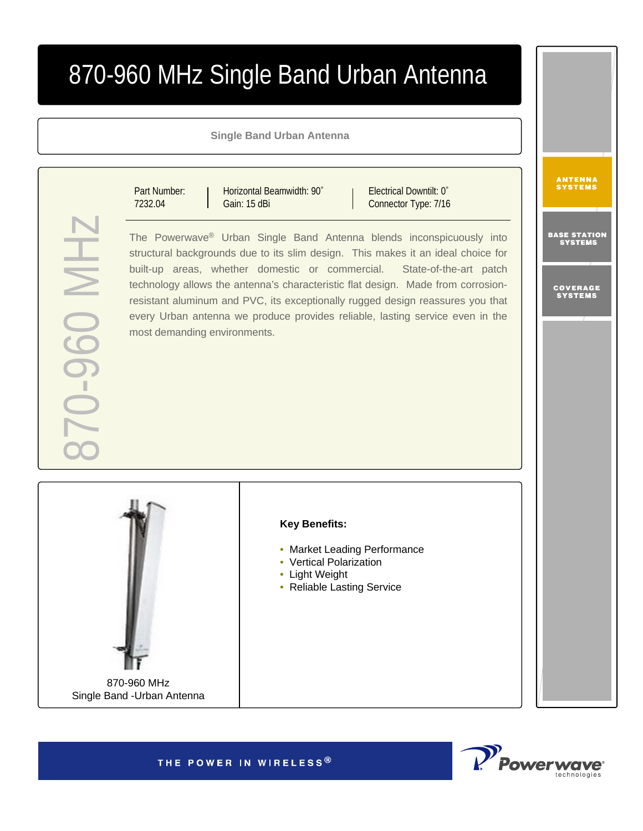# 870-960 MHz Single Band Urban Antenna

**Single Band Urban Antenna**

Horizontal Beamwidth: 90°

Gain: 15 dBi

870-960 MHz **HIM 0-60-01** 

Connector Type: 7/16 The Powerwave ® Urban Single Band Antenna blends inconspicuously into structural backgrounds due to its slim design. This makes it an ideal choice for built-up areas, whether domestic or commercial. State-of-the-art patch technology allows the antenna's characteristic flat design. Made from corrosionresistant aluminum and PVC, its exceptionally rugged design reassures you that every Urban antenna we produce provides reliable, lasting service even in the most demanding environments.

Electrical Downtilt: 0°

870-960 MHz

Part Number: 7232.04

Single Band -Urban Antenna

### **Key Benefits:**

- Market Leading Performance
- Vertical Polarization
- Light Weight
- Reliable Lasting Service

THE POWER IN WIRELESS®



**ANTENNA**<br>Systems

BASE STATION<br>Systems

COVERAGE<br>Systems